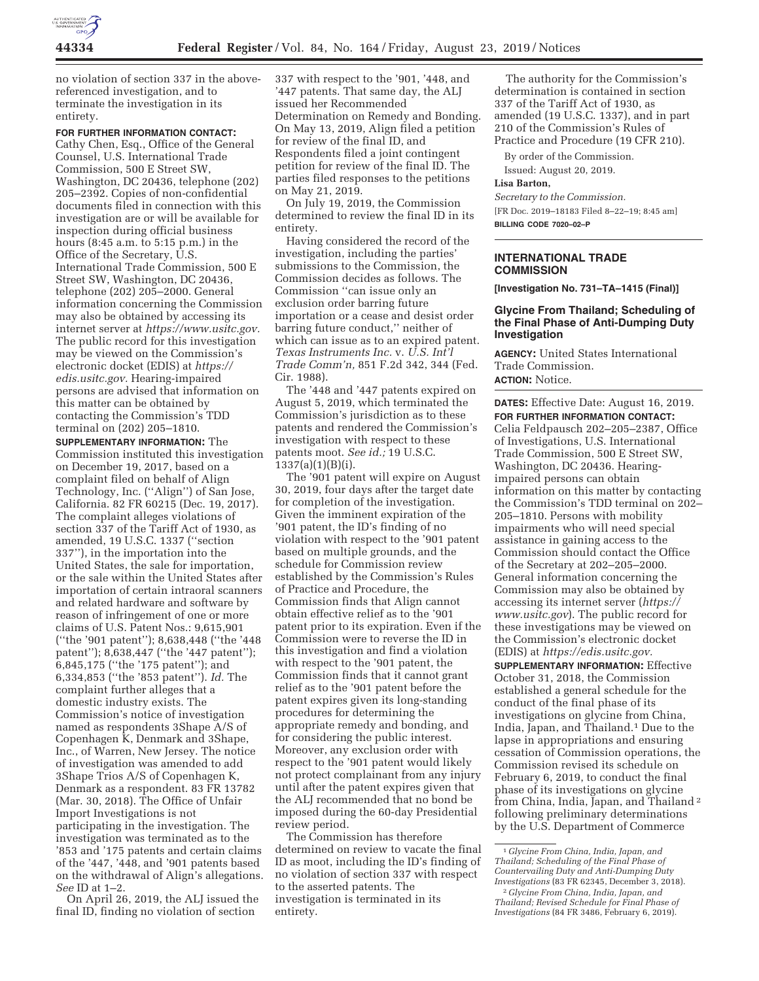

no violation of section 337 in the abovereferenced investigation, and to terminate the investigation in its entirety.

### **FOR FURTHER INFORMATION CONTACT:**

Cathy Chen, Esq., Office of the General Counsel, U.S. International Trade Commission, 500 E Street SW, Washington, DC 20436, telephone (202) 205–2392. Copies of non-confidential documents filed in connection with this investigation are or will be available for inspection during official business hours (8:45 a.m. to 5:15 p.m.) in the Office of the Secretary, U.S. International Trade Commission, 500 E Street SW, Washington, DC 20436, telephone (202) 205–2000. General information concerning the Commission may also be obtained by accessing its internet server at *https://www.usitc.gov.*  The public record for this investigation may be viewed on the Commission's electronic docket (EDIS) at *https:// edis.usitc.gov.* Hearing-impaired persons are advised that information on this matter can be obtained by contacting the Commission's TDD terminal on (202) 205–1810.

**SUPPLEMENTARY INFORMATION:** The Commission instituted this investigation on December 19, 2017, based on a complaint filed on behalf of Align Technology, Inc. (''Align'') of San Jose, California. 82 FR 60215 (Dec. 19, 2017). The complaint alleges violations of section 337 of the Tariff Act of 1930, as amended, 19 U.S.C. 1337 (''section 337''), in the importation into the United States, the sale for importation, or the sale within the United States after importation of certain intraoral scanners and related hardware and software by reason of infringement of one or more claims of U.S. Patent Nos.: 9,615,901 (''the '901 patent''); 8,638,448 (''the '448 patent''); 8,638,447 (''the '447 patent''); 6,845,175 (''the '175 patent''); and 6,334,853 (''the '853 patent''). *Id.* The complaint further alleges that a domestic industry exists. The Commission's notice of investigation named as respondents 3Shape A/S of Copenhagen K, Denmark and 3Shape, Inc., of Warren, New Jersey. The notice of investigation was amended to add 3Shape Trios A/S of Copenhagen K, Denmark as a respondent. 83 FR 13782 (Mar. 30, 2018). The Office of Unfair Import Investigations is not participating in the investigation. The investigation was terminated as to the '853 and '175 patents and certain claims of the '447, '448, and '901 patents based on the withdrawal of Align's allegations. *See* ID at 1–2.

On April 26, 2019, the ALJ issued the final ID, finding no violation of section

337 with respect to the '901, '448, and '447 patents. That same day, the ALJ issued her Recommended Determination on Remedy and Bonding. On May 13, 2019, Align filed a petition for review of the final ID, and Respondents filed a joint contingent petition for review of the final ID. The parties filed responses to the petitions on May 21, 2019.

On July 19, 2019, the Commission determined to review the final ID in its entirety.

Having considered the record of the investigation, including the parties' submissions to the Commission, the Commission decides as follows. The Commission ''can issue only an exclusion order barring future importation or a cease and desist order barring future conduct,'' neither of which can issue as to an expired patent. *Texas Instruments Inc.* v. *U.S. Int'l Trade Comm'n,* 851 F.2d 342, 344 (Fed. Cir. 1988).

The '448 and '447 patents expired on August 5, 2019, which terminated the Commission's jurisdiction as to these patents and rendered the Commission's investigation with respect to these patents moot. *See id.;* 19 U.S.C.  $1337(a)(1)(B)(i)$ .

The '901 patent will expire on August 30, 2019, four days after the target date for completion of the investigation. Given the imminent expiration of the '901 patent, the ID's finding of no violation with respect to the '901 patent based on multiple grounds, and the schedule for Commission review established by the Commission's Rules of Practice and Procedure, the Commission finds that Align cannot obtain effective relief as to the '901 patent prior to its expiration. Even if the Commission were to reverse the ID in this investigation and find a violation with respect to the '901 patent, the Commission finds that it cannot grant relief as to the '901 patent before the patent expires given its long-standing procedures for determining the appropriate remedy and bonding, and for considering the public interest. Moreover, any exclusion order with respect to the '901 patent would likely not protect complainant from any injury until after the patent expires given that the ALJ recommended that no bond be imposed during the 60-day Presidential review period.

The Commission has therefore determined on review to vacate the final ID as moot, including the ID's finding of no violation of section 337 with respect to the asserted patents. The investigation is terminated in its entirety.

The authority for the Commission's determination is contained in section 337 of the Tariff Act of 1930, as amended (19 U.S.C. 1337), and in part 210 of the Commission's Rules of Practice and Procedure (19 CFR 210).

By order of the Commission.

Issued: August 20, 2019.

# **Lisa Barton,**

*Secretary to the Commission.*  [FR Doc. 2019–18183 Filed 8–22–19; 8:45 am] **BILLING CODE 7020–02–P** 

### **INTERNATIONAL TRADE COMMISSION**

**[Investigation No. 731–TA–1415 (Final)]** 

### **Glycine From Thailand; Scheduling of the Final Phase of Anti-Dumping Duty Investigation**

**AGENCY:** United States International Trade Commission. **ACTION:** Notice.

**DATES:** Effective Date: August 16, 2019. **FOR FURTHER INFORMATION CONTACT:**  Celia Feldpausch 202–205–2387, Office of Investigations, U.S. International Trade Commission, 500 E Street SW, Washington, DC 20436. Hearingimpaired persons can obtain information on this matter by contacting the Commission's TDD terminal on 202– 205–1810. Persons with mobility impairments who will need special assistance in gaining access to the Commission should contact the Office of the Secretary at 202–205–2000. General information concerning the Commission may also be obtained by accessing its internet server (*https:// www.usitc.gov*). The public record for these investigations may be viewed on the Commission's electronic docket (EDIS) at *https://edis.usitc.gov.* 

**SUPPLEMENTARY INFORMATION:** Effective October 31, 2018, the Commission established a general schedule for the conduct of the final phase of its investigations on glycine from China, India, Japan, and Thailand.1 Due to the lapse in appropriations and ensuring cessation of Commission operations, the Commission revised its schedule on February 6, 2019, to conduct the final phase of its investigations on glycine from China, India, Japan, and Thailand<sup>2</sup> following preliminary determinations by the U.S. Department of Commerce

<sup>1</sup> *Glycine From China, India, Japan, and Thailand; Scheduling of the Final Phase of Countervailing Duty and Anti-Dumping Duty Investigations* (83 FR 62345, December 3, 2018). 2 *Glycine From China, India, Japan, and Thailand; Revised Schedule for Final Phase of Investigations* (84 FR 3486, February 6, 2019).